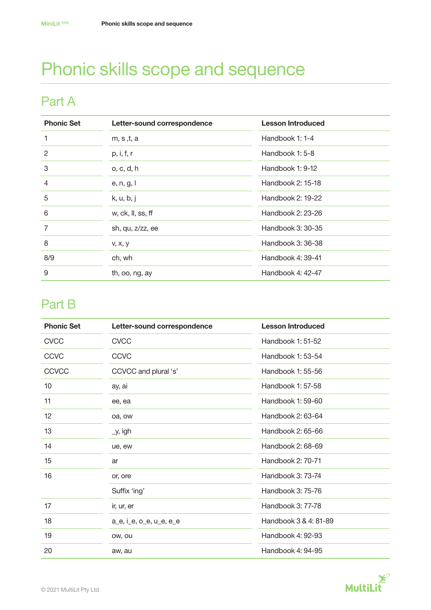# Phonic skills scope and sequence

### Part A

| <b>Phonic Set</b> | Letter-sound correspondence | <b>Lesson Introduced</b> |
|-------------------|-----------------------------|--------------------------|
| 1                 | m, s , t, a                 | Handbook 1: 1-4          |
| $\overline{2}$    | p, i, f, r                  | Handbook 1: 5-8          |
| 3                 | o, c, d, h                  | Handbook 1: 9-12         |
| $\overline{4}$    | e, n, g, l                  | Handbook 2: 15-18        |
| 5                 | k, u, b, j                  | Handbook 2: 19-22        |
| 6                 | w, ck, ll, ss, ff           | Handbook 2: 23-26        |
| $\overline{7}$    | sh, qu, z/zz, ee            | Handbook 3: 30-35        |
| 8                 | V, X, Y                     | Handbook 3: 36-38        |
| 8/9               | ch, wh                      | Handbook 4: 39-41        |
| 9                 | th, oo, ng, ay              | Handbook 4: 42-47        |

## Part B

| <b>Phonic Set</b> | Letter-sound correspondence | <b>Lesson Introduced</b> |
|-------------------|-----------------------------|--------------------------|
| <b>CVCC</b>       | <b>CVCC</b>                 | Handbook 1: 51-52        |
| <b>CCVC</b>       | <b>CCVC</b>                 | Handbook 1: 53-54        |
| CCVCC             | CCVCC and plural 's'        | Handbook 1: 55-56        |
| 10                | ay, ai                      | Handbook 1: 57-58        |
| 11                | ee, ea                      | Handbook 1: 59-60        |
| 12                | oa, ow                      | Handbook 2: 63-64        |
| 13                | _y, igh                     | Handbook 2: 65-66        |
| 14                | ue, ew                      | Handbook 2: 68-69        |
| 15                | ar                          | Handbook 2: 70-71        |
| 16                | or, ore                     | Handbook 3: 73-74        |
|                   | Suffix 'ing'                | Handbook 3: 75-76        |
| 17                | ir, ur, er                  | Handbook 3: 77-78        |
| 18                | a_e, i_e, o_e, u_e, e_e     | Handbook 3 & 4: 81-89    |
| 19                | ow, ou                      | Handbook 4: 92-93        |
| 20                | aw, au                      | Handbook 4: 94-95        |

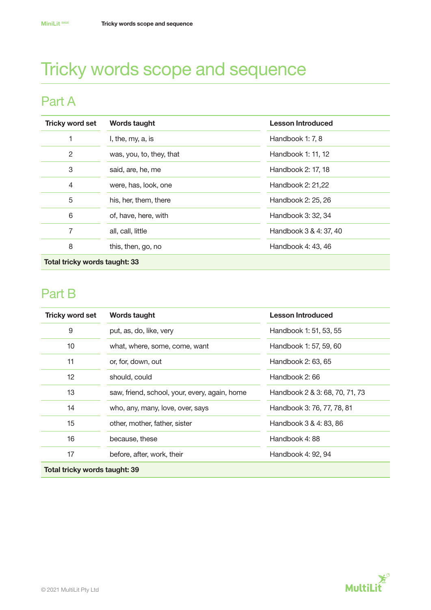## Tricky words scope and sequence

## Part A

| <b>Tricky word set</b>    | <b>Words taught</b>      | <b>Lesson Introduced</b> |  |
|---------------------------|--------------------------|--------------------------|--|
| 1                         | I, the, my, a, is        | Handbook 1: 7, 8         |  |
| $\overline{c}$            | was, you, to, they, that | Handbook 1: 11, 12       |  |
| 3                         | said, are, he, me        | Handbook 2: 17, 18       |  |
| 4                         | were, has, look, one     | Handbook 2: 21,22        |  |
| 5                         | his, her, them, there    | Handbook 2: 25, 26       |  |
| 6                         | of, have, here, with     | Handbook 3: 32, 34       |  |
| 7                         | all, call, little        | Handbook 3 & 4: 37, 40   |  |
| 8                         | this, then, go, no       | Handbook 4: 43, 46       |  |
| 天き しょうしょう しょうしょう しょうしょうめい |                          |                          |  |

Total tricky words taught: 33

## Part B

| <b>Tricky word set</b>        | Words taught                                  | <b>Lesson Introduced</b>       |  |
|-------------------------------|-----------------------------------------------|--------------------------------|--|
| 9                             | put, as, do, like, very                       | Handbook 1: 51, 53, 55         |  |
| 10                            | what, where, some, come, want                 | Handbook 1: 57, 59, 60         |  |
| 11                            | or, for, down, out                            | Handbook 2: 63, 65             |  |
| 12                            | should, could                                 | Handbook 2:66                  |  |
| 13                            | saw, friend, school, your, every, again, home | Handbook 2 & 3: 68, 70, 71, 73 |  |
| 14                            | who, any, many, love, over, says              | Handbook 3: 76, 77, 78, 81     |  |
| 15                            | other, mother, father, sister                 | Handbook 3 & 4: 83, 86         |  |
| 16                            | because, these                                | Handbook 4:88                  |  |
| 17                            | before, after, work, their                    | Handbook 4: 92, 94             |  |
| Total tricky words taught: 39 |                                               |                                |  |

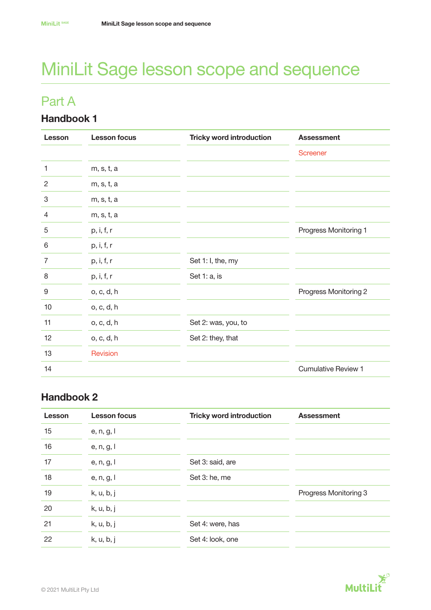# MiniLit Sage lesson scope and sequence

### Part A

#### Handbook 1

| Lesson         | <b>Lesson focus</b> | <b>Tricky word introduction</b> | <b>Assessment</b>          |
|----------------|---------------------|---------------------------------|----------------------------|
|                |                     |                                 | <b>Screener</b>            |
| 1              | m, s, t, a          |                                 |                            |
| $\overline{c}$ | m, s, t, a          |                                 |                            |
| 3              | m, s, t, a          |                                 |                            |
| 4              | m, s, t, a          |                                 |                            |
| 5              | p, i, f, r          |                                 | Progress Monitoring 1      |
| 6              | p, i, f, r          |                                 |                            |
| 7              | p, i, f, r          | Set 1: I, the, my               |                            |
| 8              | p, i, f, r          | Set 1: a, is                    |                            |
| $9\,$          | o, c, d, h          |                                 | Progress Monitoring 2      |
| 10             | o, c, d, h          |                                 |                            |
| 11             | o, c, d, h          | Set 2: was, you, to             |                            |
| 12             | o, c, d, h          | Set 2: they, that               |                            |
| 13             | Revision            |                                 |                            |
| 14             |                     |                                 | <b>Cumulative Review 1</b> |

| Lesson | <b>Lesson focus</b> | <b>Tricky word introduction</b> | <b>Assessment</b>     |
|--------|---------------------|---------------------------------|-----------------------|
| 15     | e, n, g, l          |                                 |                       |
| 16     | e, n, g, l          |                                 |                       |
| 17     | e, n, g, l          | Set 3: said, are                |                       |
| 18     | e, n, g, l          | Set 3: he, me                   |                       |
| 19     | k, u, b, j          |                                 | Progress Monitoring 3 |
| 20     | k, u, b, j          |                                 |                       |
| 21     | k, u, b, j          | Set 4: were, has                |                       |
| 22     | k, u, b, j          | Set 4: look, one                |                       |

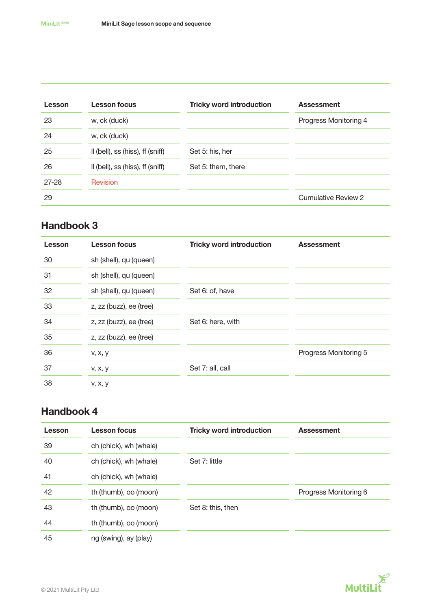| Lesson    | <b>Lesson focus</b>              | <b>Tricky word introduction</b> | <b>Assessment</b>     |
|-----------|----------------------------------|---------------------------------|-----------------------|
| 23        | w, ck (duck)                     |                                 | Progress Monitoring 4 |
| 24        | w, ck (duck)                     |                                 |                       |
| 25        | II (bell), ss (hiss), ff (sniff) | Set 5: his, her                 |                       |
| 26        | II (bell), ss (hiss), ff (sniff) | Set 5: them, there              |                       |
| $27 - 28$ | Revision                         |                                 |                       |
| 29        |                                  |                                 | Cumulative Review 2   |

#### Handbook 3

| Lesson | <b>Lesson focus</b>     | <b>Tricky word introduction</b> | <b>Assessment</b>     |
|--------|-------------------------|---------------------------------|-----------------------|
| 30     | sh (shell), qu (queen)  |                                 |                       |
| 31     | sh (shell), qu (queen)  |                                 |                       |
| 32     | sh (shell), qu (queen)  | Set 6: of, have                 |                       |
| 33     | z, zz (buzz), ee (tree) |                                 |                       |
| 34     | z, zz (buzz), ee (tree) | Set 6: here, with               |                       |
| 35     | z, zz (buzz), ee (tree) |                                 |                       |
| 36     | V, X, V                 |                                 | Progress Monitoring 5 |
| 37     | v, x, y                 | Set 7: all, call                |                       |
| 38     | V, X, Y                 |                                 |                       |

| Lesson | <b>Lesson focus</b>    | <b>Tricky word introduction</b> | <b>Assessment</b>     |
|--------|------------------------|---------------------------------|-----------------------|
| 39     | ch (chick), wh (whale) |                                 |                       |
| 40     | ch (chick), wh (whale) | Set 7: little                   |                       |
| 41     | ch (chick), wh (whale) |                                 |                       |
| 42     | th (thumb), oo (moon)  |                                 | Progress Monitoring 6 |
| 43     | th (thumb), oo (moon)  | Set 8: this, then               |                       |
| 44     | th (thumb), oo (moon)  |                                 |                       |
| 45     | ng (swing), ay (play)  |                                 |                       |

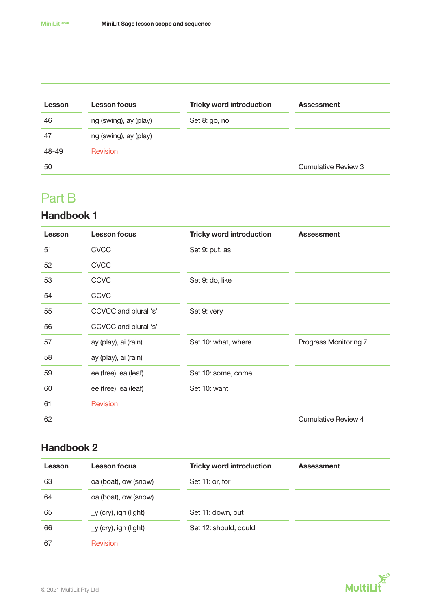| Lesson | <b>Lesson focus</b>   | <b>Tricky word introduction</b> | <b>Assessment</b>   |
|--------|-----------------------|---------------------------------|---------------------|
| 46     | ng (swing), ay (play) | Set 8: go, no                   |                     |
| 47     | ng (swing), ay (play) |                                 |                     |
| 48-49  | <b>Revision</b>       |                                 |                     |
| 50     |                       |                                 | Cumulative Review 3 |

### Part B

#### Handbook 1

| Lesson | <b>Lesson focus</b>  | <b>Tricky word introduction</b> | <b>Assessment</b>     |
|--------|----------------------|---------------------------------|-----------------------|
| 51     | <b>CVCC</b>          | Set 9: put, as                  |                       |
| 52     | <b>CVCC</b>          |                                 |                       |
| 53     | <b>CCVC</b>          | Set 9: do, like                 |                       |
| 54     | <b>CCVC</b>          |                                 |                       |
| 55     | CCVCC and plural 's' | Set 9: very                     |                       |
| 56     | CCVCC and plural 's' |                                 |                       |
| 57     | ay (play), ai (rain) | Set 10: what, where             | Progress Monitoring 7 |
| 58     | ay (play), ai (rain) |                                 |                       |
| 59     | ee (tree), ea (leaf) | Set 10: some, come              |                       |
| 60     | ee (tree), ea (leaf) | Set 10: want                    |                       |
| 61     | Revision             |                                 |                       |
| 62     |                      |                                 | Cumulative Review 4   |

| Lesson | <b>Lesson focus</b>     | <b>Tricky word introduction</b> | <b>Assessment</b> |
|--------|-------------------------|---------------------------------|-------------------|
| 63     | oa (boat), ow (snow)    | Set 11: or, for                 |                   |
| 64     | oa (boat), ow (snow)    |                                 |                   |
| 65     | $_y$ (cry), igh (light) | Set 11: down, out               |                   |
| 66     | $_y$ (cry), igh (light) | Set 12: should, could           |                   |
| 67     | <b>Revision</b>         |                                 |                   |

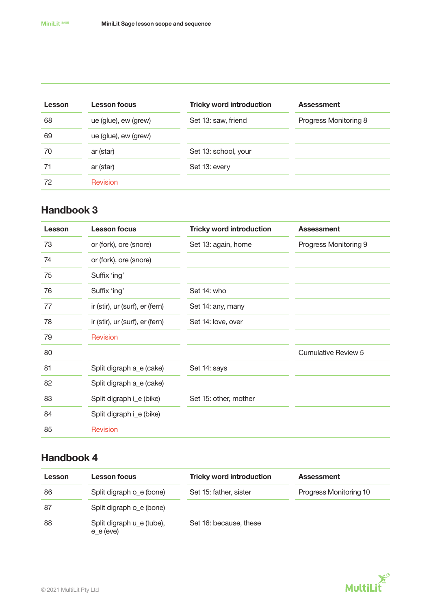| Lesson | <b>Lesson focus</b>  | <b>Tricky word introduction</b> | <b>Assessment</b>     |
|--------|----------------------|---------------------------------|-----------------------|
| 68     | ue (glue), ew (grew) | Set 13: saw, friend             | Progress Monitoring 8 |
| 69     | ue (glue), ew (grew) |                                 |                       |
| 70     | ar (star)            | Set 13: school, your            |                       |
| 71     | ar (star)            | Set 13: every                   |                       |
| 72     | Revision             |                                 |                       |

#### Handbook 3

| Lesson | <b>Lesson focus</b>             | <b>Tricky word introduction</b> | <b>Assessment</b>          |
|--------|---------------------------------|---------------------------------|----------------------------|
| 73     | or (fork), ore (snore)          | Set 13: again, home             | Progress Monitoring 9      |
| 74     | or (fork), ore (snore)          |                                 |                            |
| 75     | Suffix 'ing'                    |                                 |                            |
| 76     | Suffix 'ing'                    | Set 14: who                     |                            |
| 77     | ir (stir), ur (surf), er (fern) | Set 14: any, many               |                            |
| 78     | ir (stir), ur (surf), er (fern) | Set 14: love, over              |                            |
| 79     | Revision                        |                                 |                            |
| 80     |                                 |                                 | <b>Cumulative Review 5</b> |
| 81     | Split digraph a_e (cake)        | Set 14: says                    |                            |
| 82     | Split digraph a_e (cake)        |                                 |                            |
| 83     | Split digraph i_e (bike)        | Set 15: other, mother           |                            |
| 84     | Split digraph i_e (bike)        |                                 |                            |
| 85     | <b>Revision</b>                 |                                 |                            |

| Lesson | Lesson focus                             | <b>Tricky word introduction</b> | <b>Assessment</b>      |
|--------|------------------------------------------|---------------------------------|------------------------|
| 86     | Split digraph o_e (bone)                 | Set 15: father, sister          | Progress Monitoring 10 |
| 87     | Split digraph o_e (bone)                 |                                 |                        |
| 88     | Split digraph u_e (tube),<br>$e$ e (eve) | Set 16: because, these          |                        |